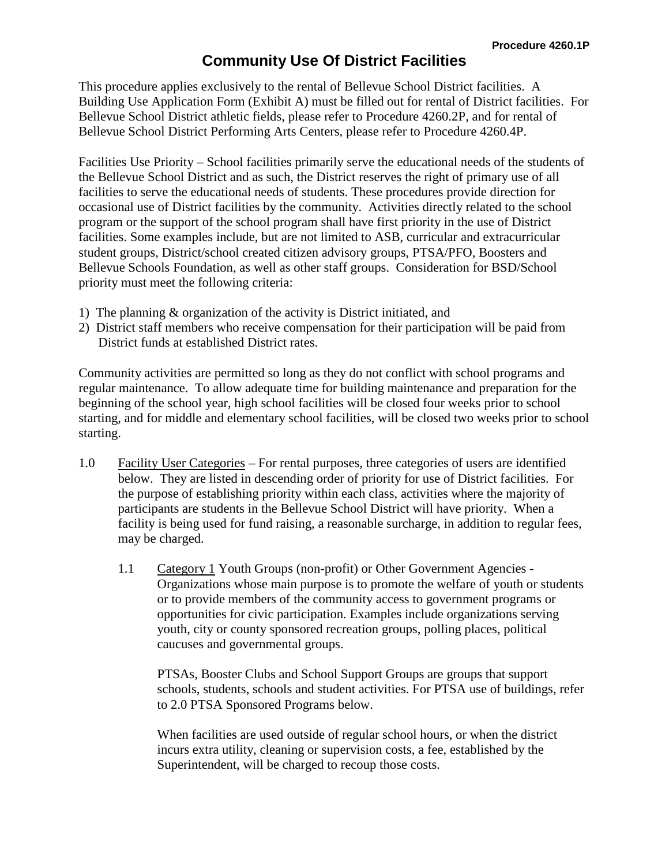This procedure applies exclusively to the rental of Bellevue School District facilities. A Building Use Application Form (Exhibit A) must be filled out for rental of District facilities. For Bellevue School District athletic fields, please refer to Procedure 4260.2P, and for rental of Bellevue School District Performing Arts Centers, please refer to Procedure 4260.4P.

Facilities Use Priority – School facilities primarily serve the educational needs of the students of the Bellevue School District and as such, the District reserves the right of primary use of all facilities to serve the educational needs of students. These procedures provide direction for occasional use of District facilities by the community. Activities directly related to the school program or the support of the school program shall have first priority in the use of District facilities. Some examples include, but are not limited to ASB, curricular and extracurricular student groups, District/school created citizen advisory groups, PTSA/PFO, Boosters and Bellevue Schools Foundation, as well as other staff groups. Consideration for BSD/School priority must meet the following criteria:

- 1) The planning & organization of the activity is District initiated, and
- 2) District staff members who receive compensation for their participation will be paid from District funds at established District rates.

Community activities are permitted so long as they do not conflict with school programs and regular maintenance. To allow adequate time for building maintenance and preparation for the beginning of the school year, high school facilities will be closed four weeks prior to school starting, and for middle and elementary school facilities, will be closed two weeks prior to school starting.

- 1.0 Facility User Categories For rental purposes, three categories of users are identified below. They are listed in descending order of priority for use of District facilities. For the purpose of establishing priority within each class, activities where the majority of participants are students in the Bellevue School District will have priority. When a facility is being used for fund raising, a reasonable surcharge, in addition to regular fees, may be charged.
	- 1.1 Category 1 Youth Groups (non-profit) or Other Government Agencies Organizations whose main purpose is to promote the welfare of youth or students or to provide members of the community access to government programs or opportunities for civic participation. Examples include organizations serving youth, city or county sponsored recreation groups, polling places, political caucuses and governmental groups.

PTSAs, Booster Clubs and School Support Groups are groups that support schools, students, schools and student activities. For PTSA use of buildings, refer to 2.0 PTSA Sponsored Programs below.

When facilities are used outside of regular school hours, or when the district incurs extra utility, cleaning or supervision costs, a fee, established by the Superintendent, will be charged to recoup those costs.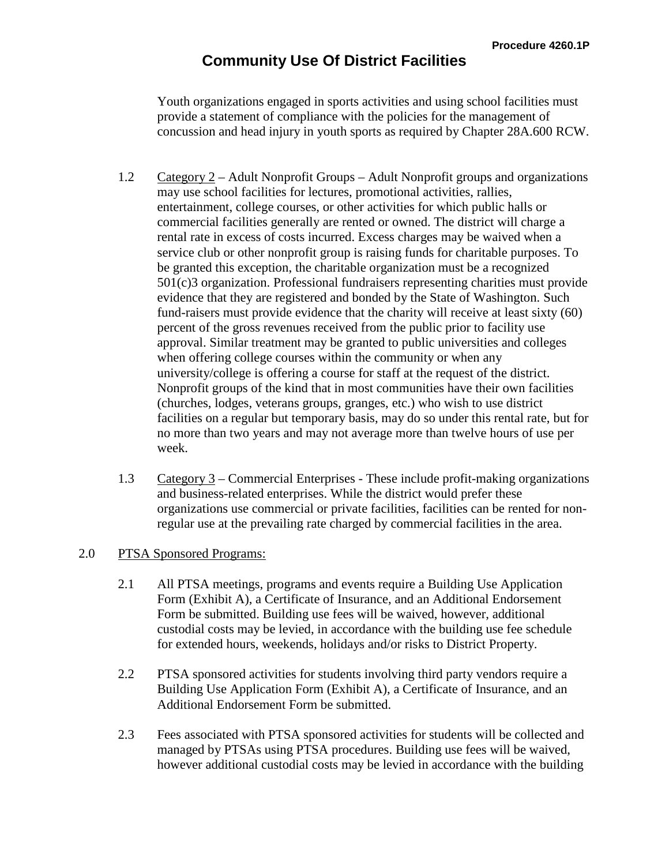Youth organizations engaged in sports activities and using school facilities must provide a statement of compliance with the policies for the management of concussion and head injury in youth sports as required by Chapter 28A.600 RCW.

- 1.2 Category 2 Adult Nonprofit Groups Adult Nonprofit groups and organizations may use school facilities for lectures, promotional activities, rallies, entertainment, college courses, or other activities for which public halls or commercial facilities generally are rented or owned. The district will charge a rental rate in excess of costs incurred. Excess charges may be waived when a service club or other nonprofit group is raising funds for charitable purposes. To be granted this exception, the charitable organization must be a recognized 501(c)3 organization. Professional fundraisers representing charities must provide evidence that they are registered and bonded by the State of Washington. Such fund-raisers must provide evidence that the charity will receive at least sixty (60) percent of the gross revenues received from the public prior to facility use approval. Similar treatment may be granted to public universities and colleges when offering college courses within the community or when any university/college is offering a course for staff at the request of the district. Nonprofit groups of the kind that in most communities have their own facilities (churches, lodges, veterans groups, granges, etc.) who wish to use district facilities on a regular but temporary basis, may do so under this rental rate, but for no more than two years and may not average more than twelve hours of use per week.
- 1.3 Category 3 Commercial Enterprises These include profit-making organizations and business-related enterprises. While the district would prefer these organizations use commercial or private facilities, facilities can be rented for nonregular use at the prevailing rate charged by commercial facilities in the area.

### 2.0 PTSA Sponsored Programs:

- 2.1 All PTSA meetings, programs and events require a Building Use Application Form (Exhibit A), a Certificate of Insurance, and an Additional Endorsement Form be submitted. Building use fees will be waived, however, additional custodial costs may be levied, in accordance with the building use fee schedule for extended hours, weekends, holidays and/or risks to District Property.
- 2.2 PTSA sponsored activities for students involving third party vendors require a Building Use Application Form (Exhibit A), a Certificate of Insurance, and an Additional Endorsement Form be submitted.
- 2.3 Fees associated with PTSA sponsored activities for students will be collected and managed by PTSAs using PTSA procedures. Building use fees will be waived, however additional custodial costs may be levied in accordance with the building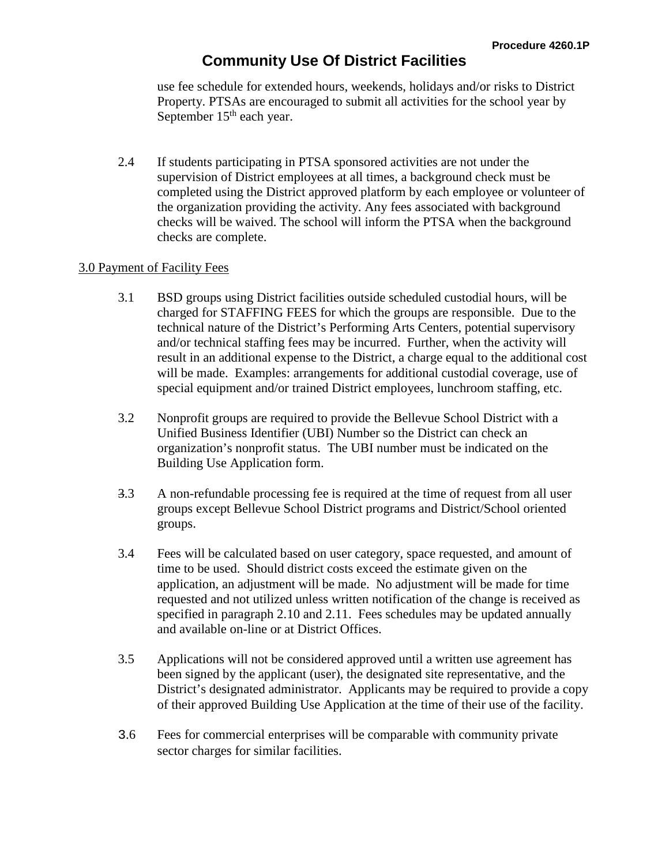use fee schedule for extended hours, weekends, holidays and/or risks to District Property. PTSAs are encouraged to submit all activities for the school year by September  $15<sup>th</sup>$  each year.

2.4 If students participating in PTSA sponsored activities are not under the supervision of District employees at all times, a background check must be completed using the District approved platform by each employee or volunteer of the organization providing the activity. Any fees associated with background checks will be waived. The school will inform the PTSA when the background checks are complete.

#### 3.0 Payment of Facility Fees

- 3.1 BSD groups using District facilities outside scheduled custodial hours, will be charged for STAFFING FEES for which the groups are responsible. Due to the technical nature of the District's Performing Arts Centers, potential supervisory and/or technical staffing fees may be incurred. Further, when the activity will result in an additional expense to the District, a charge equal to the additional cost will be made. Examples: arrangements for additional custodial coverage, use of special equipment and/or trained District employees, lunchroom staffing, etc.
- 3.2 Nonprofit groups are required to provide the Bellevue School District with a Unified Business Identifier (UBI) Number so the District can check an organization's nonprofit status. The UBI number must be indicated on the Building Use Application form.
- 3.3 A non-refundable processing fee is required at the time of request from all user groups except Bellevue School District programs and District/School oriented groups.
- 3.4 Fees will be calculated based on user category, space requested, and amount of time to be used. Should district costs exceed the estimate given on the application, an adjustment will be made. No adjustment will be made for time requested and not utilized unless written notification of the change is received as specified in paragraph 2.10 and 2.11. Fees schedules may be updated annually and available on-line or at District Offices.
- 3.5 Applications will not be considered approved until a written use agreement has been signed by the applicant (user), the designated site representative, and the District's designated administrator. Applicants may be required to provide a copy of their approved Building Use Application at the time of their use of the facility.
- 3.6 Fees for commercial enterprises will be comparable with community private sector charges for similar facilities.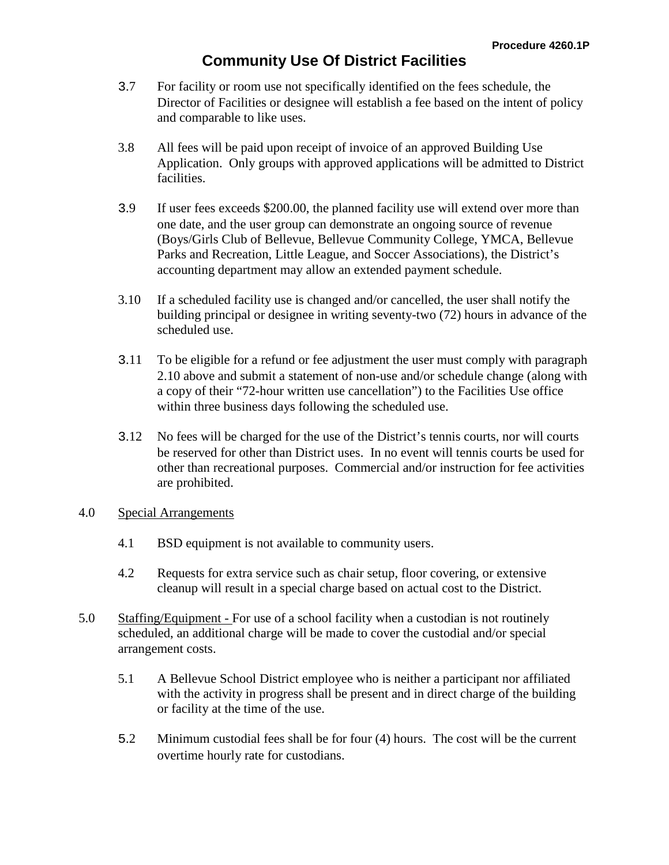- 3.7 For facility or room use not specifically identified on the fees schedule, the Director of Facilities or designee will establish a fee based on the intent of policy and comparable to like uses.
- 3.8 All fees will be paid upon receipt of invoice of an approved Building Use Application. Only groups with approved applications will be admitted to District facilities.
- 3.9 If user fees exceeds \$200.00, the planned facility use will extend over more than one date, and the user group can demonstrate an ongoing source of revenue (Boys/Girls Club of Bellevue, Bellevue Community College, YMCA, Bellevue Parks and Recreation, Little League, and Soccer Associations), the District's accounting department may allow an extended payment schedule.
- 3.10 If a scheduled facility use is changed and/or cancelled, the user shall notify the building principal or designee in writing seventy-two (72) hours in advance of the scheduled use.
- 3.11 To be eligible for a refund or fee adjustment the user must comply with paragraph 2.10 above and submit a statement of non-use and/or schedule change (along with a copy of their "72-hour written use cancellation") to the Facilities Use office within three business days following the scheduled use.
- 3.12 No fees will be charged for the use of the District's tennis courts, nor will courts be reserved for other than District uses. In no event will tennis courts be used for other than recreational purposes. Commercial and/or instruction for fee activities are prohibited.

### 4.0 Special Arrangements

- 4.1 BSD equipment is not available to community users.
- 4.2 Requests for extra service such as chair setup, floor covering, or extensive cleanup will result in a special charge based on actual cost to the District.
- 5.0 Staffing/Equipment For use of a school facility when a custodian is not routinely scheduled, an additional charge will be made to cover the custodial and/or special arrangement costs.
	- 5.1 A Bellevue School District employee who is neither a participant nor affiliated with the activity in progress shall be present and in direct charge of the building or facility at the time of the use.
	- 5.2 Minimum custodial fees shall be for four (4) hours. The cost will be the current overtime hourly rate for custodians.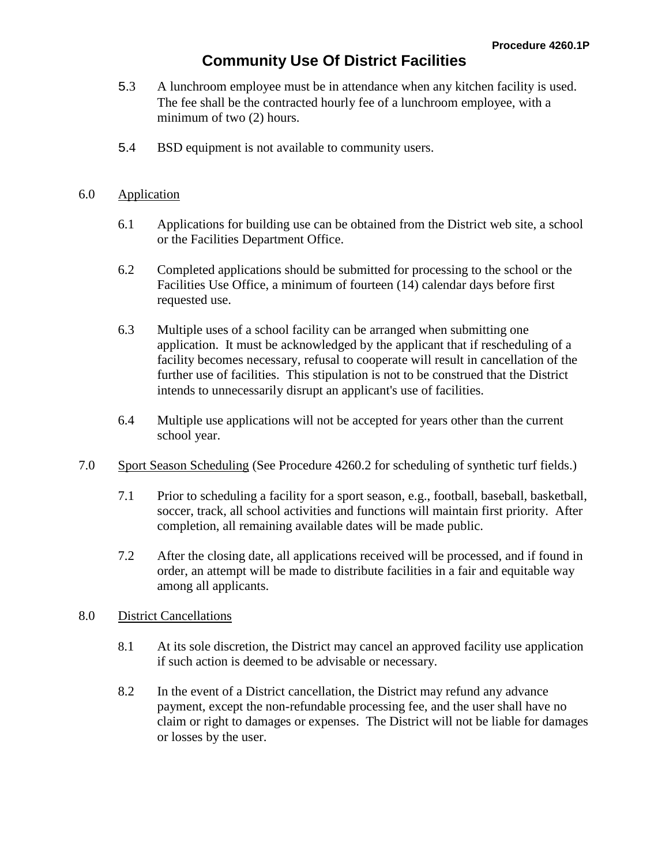- 5.3 A lunchroom employee must be in attendance when any kitchen facility is used. The fee shall be the contracted hourly fee of a lunchroom employee, with a minimum of two (2) hours.
- 5.4 BSD equipment is not available to community users.

#### 6.0 Application

- 6.1 Applications for building use can be obtained from the District web site, a school or the Facilities Department Office.
- 6.2 Completed applications should be submitted for processing to the school or the Facilities Use Office, a minimum of fourteen (14) calendar days before first requested use.
- 6.3 Multiple uses of a school facility can be arranged when submitting one application. It must be acknowledged by the applicant that if rescheduling of a facility becomes necessary, refusal to cooperate will result in cancellation of the further use of facilities. This stipulation is not to be construed that the District intends to unnecessarily disrupt an applicant's use of facilities.
- 6.4 Multiple use applications will not be accepted for years other than the current school year.
- 7.0 Sport Season Scheduling (See Procedure 4260.2 for scheduling of synthetic turf fields.)
	- 7.1 Prior to scheduling a facility for a sport season, e.g., football, baseball, basketball, soccer, track, all school activities and functions will maintain first priority. After completion, all remaining available dates will be made public.
	- 7.2 After the closing date, all applications received will be processed, and if found in order, an attempt will be made to distribute facilities in a fair and equitable way among all applicants.

### 8.0 District Cancellations

- 8.1 At its sole discretion, the District may cancel an approved facility use application if such action is deemed to be advisable or necessary.
- 8.2 In the event of a District cancellation, the District may refund any advance payment, except the non-refundable processing fee, and the user shall have no claim or right to damages or expenses. The District will not be liable for damages or losses by the user.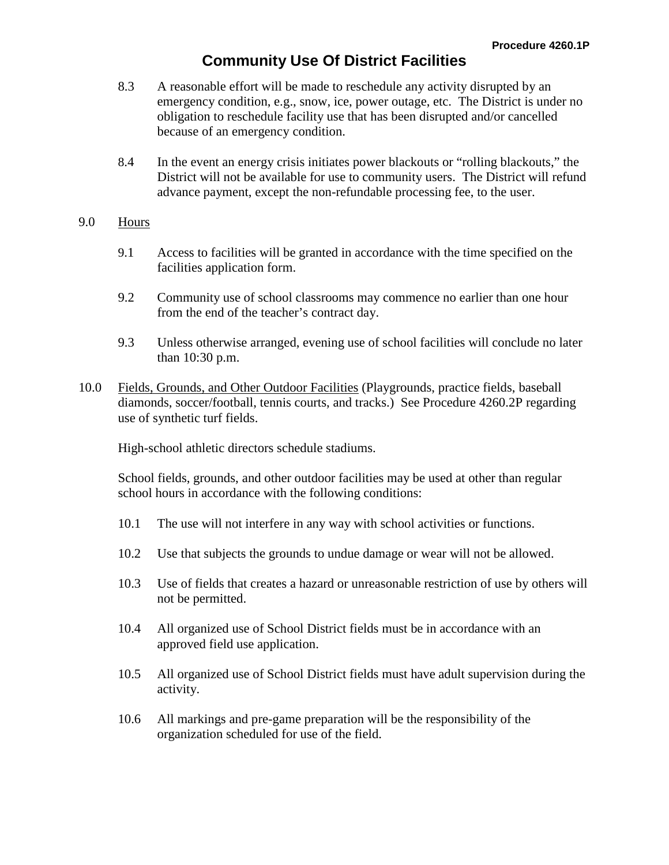- 8.3 A reasonable effort will be made to reschedule any activity disrupted by an emergency condition, e.g., snow, ice, power outage, etc. The District is under no obligation to reschedule facility use that has been disrupted and/or cancelled because of an emergency condition.
- 8.4 In the event an energy crisis initiates power blackouts or "rolling blackouts," the District will not be available for use to community users. The District will refund advance payment, except the non-refundable processing fee, to the user.

#### 9.0 Hours

- 9.1 Access to facilities will be granted in accordance with the time specified on the facilities application form.
- 9.2 Community use of school classrooms may commence no earlier than one hour from the end of the teacher's contract day.
- 9.3 Unless otherwise arranged, evening use of school facilities will conclude no later than 10:30 p.m.
- 10.0 Fields, Grounds, and Other Outdoor Facilities (Playgrounds, practice fields, baseball diamonds, soccer/football, tennis courts, and tracks.) See Procedure 4260.2P regarding use of synthetic turf fields.

High-school athletic directors schedule stadiums.

School fields, grounds, and other outdoor facilities may be used at other than regular school hours in accordance with the following conditions:

- 10.1 The use will not interfere in any way with school activities or functions.
- 10.2 Use that subjects the grounds to undue damage or wear will not be allowed.
- 10.3 Use of fields that creates a hazard or unreasonable restriction of use by others will not be permitted.
- 10.4 All organized use of School District fields must be in accordance with an approved field use application.
- 10.5 All organized use of School District fields must have adult supervision during the activity.
- 10.6 All markings and pre-game preparation will be the responsibility of the organization scheduled for use of the field.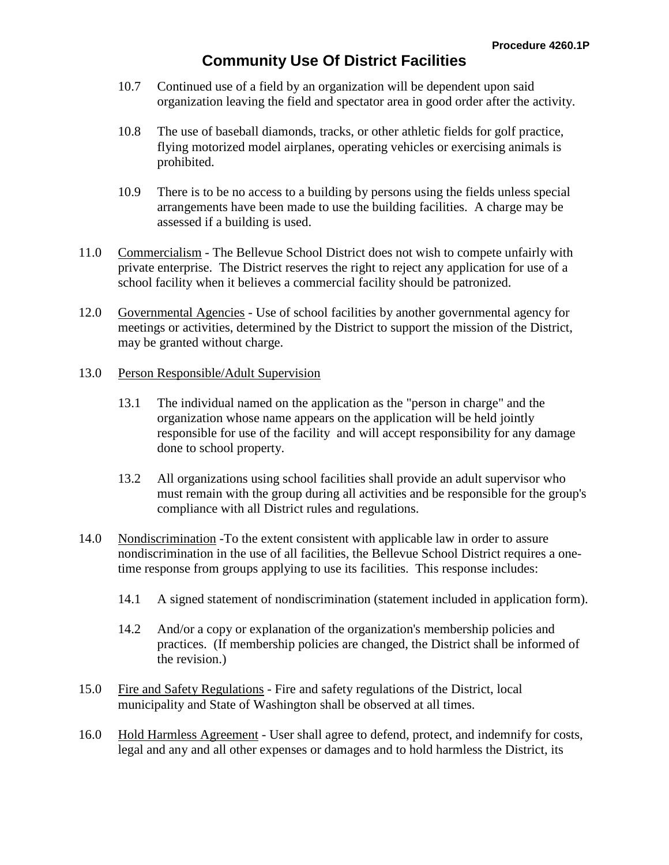- 10.7 Continued use of a field by an organization will be dependent upon said organization leaving the field and spectator area in good order after the activity.
- 10.8 The use of baseball diamonds, tracks, or other athletic fields for golf practice, flying motorized model airplanes, operating vehicles or exercising animals is prohibited.
- 10.9 There is to be no access to a building by persons using the fields unless special arrangements have been made to use the building facilities. A charge may be assessed if a building is used.
- 11.0 Commercialism The Bellevue School District does not wish to compete unfairly with private enterprise. The District reserves the right to reject any application for use of a school facility when it believes a commercial facility should be patronized.
- 12.0 Governmental Agencies Use of school facilities by another governmental agency for meetings or activities, determined by the District to support the mission of the District, may be granted without charge.
- 13.0 Person Responsible/Adult Supervision
	- 13.1 The individual named on the application as the "person in charge" and the organization whose name appears on the application will be held jointly responsible for use of the facility and will accept responsibility for any damage done to school property.
	- 13.2 All organizations using school facilities shall provide an adult supervisor who must remain with the group during all activities and be responsible for the group's compliance with all District rules and regulations.
- 14.0 Nondiscrimination -To the extent consistent with applicable law in order to assure nondiscrimination in the use of all facilities, the Bellevue School District requires a onetime response from groups applying to use its facilities. This response includes:
	- 14.1 A signed statement of nondiscrimination (statement included in application form).
	- 14.2 And/or a copy or explanation of the organization's membership policies and practices. (If membership policies are changed, the District shall be informed of the revision.)
- 15.0 Fire and Safety Regulations Fire and safety regulations of the District, local municipality and State of Washington shall be observed at all times.
- 16.0 Hold Harmless Agreement User shall agree to defend, protect, and indemnify for costs, legal and any and all other expenses or damages and to hold harmless the District, its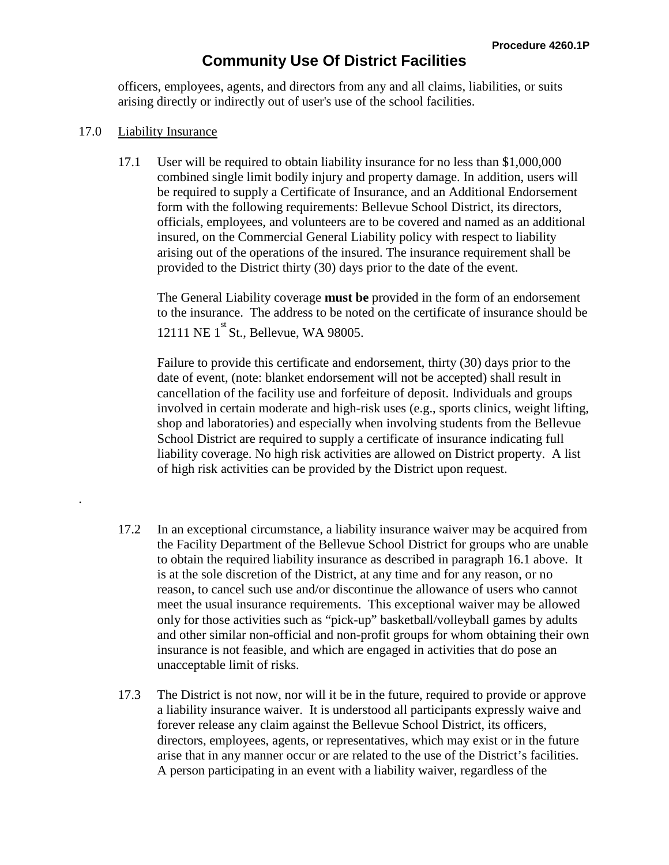officers, employees, agents, and directors from any and all claims, liabilities, or suits arising directly or indirectly out of user's use of the school facilities.

### 17.0 Liability Insurance

.

17.1 User will be required to obtain liability insurance for no less than \$1,000,000 combined single limit bodily injury and property damage. In addition, users will be required to supply a Certificate of Insurance, and an Additional Endorsement form with the following requirements: Bellevue School District, its directors, officials, employees, and volunteers are to be covered and named as an additional insured, on the Commercial General Liability policy with respect to liability arising out of the operations of the insured. The insurance requirement shall be provided to the District thirty (30) days prior to the date of the event.

The General Liability coverage **must be** provided in the form of an endorsement to the insurance. The address to be noted on the certificate of insurance should be 12111 NE 1<sup>st</sup> St., Bellevue, WA 98005.

Failure to provide this certificate and endorsement, thirty (30) days prior to the date of event, (note: blanket endorsement will not be accepted) shall result in cancellation of the facility use and forfeiture of deposit. Individuals and groups involved in certain moderate and high-risk uses (e.g., sports clinics, weight lifting, shop and laboratories) and especially when involving students from the Bellevue School District are required to supply a certificate of insurance indicating full liability coverage. No high risk activities are allowed on District property. A list of high risk activities can be provided by the District upon request.

- 17.2 In an exceptional circumstance, a liability insurance waiver may be acquired from the Facility Department of the Bellevue School District for groups who are unable to obtain the required liability insurance as described in paragraph 16.1 above. It is at the sole discretion of the District, at any time and for any reason, or no reason, to cancel such use and/or discontinue the allowance of users who cannot meet the usual insurance requirements. This exceptional waiver may be allowed only for those activities such as "pick-up" basketball/volleyball games by adults and other similar non-official and non-profit groups for whom obtaining their own insurance is not feasible, and which are engaged in activities that do pose an unacceptable limit of risks.
- 17.3 The District is not now, nor will it be in the future, required to provide or approve a liability insurance waiver. It is understood all participants expressly waive and forever release any claim against the Bellevue School District, its officers, directors, employees, agents, or representatives, which may exist or in the future arise that in any manner occur or are related to the use of the District's facilities. A person participating in an event with a liability waiver, regardless of the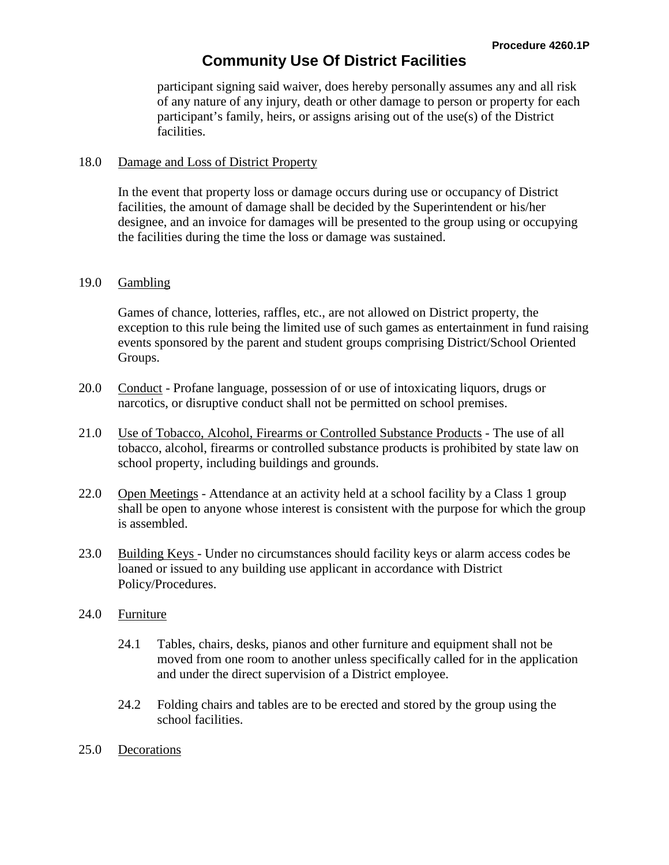participant signing said waiver, does hereby personally assumes any and all risk of any nature of any injury, death or other damage to person or property for each participant's family, heirs, or assigns arising out of the use(s) of the District facilities.

#### 18.0 Damage and Loss of District Property

In the event that property loss or damage occurs during use or occupancy of District facilities, the amount of damage shall be decided by the Superintendent or his/her designee, and an invoice for damages will be presented to the group using or occupying the facilities during the time the loss or damage was sustained.

#### 19.0 Gambling

Games of chance, lotteries, raffles, etc., are not allowed on District property, the exception to this rule being the limited use of such games as entertainment in fund raising events sponsored by the parent and student groups comprising District/School Oriented Groups.

- 20.0 Conduct Profane language, possession of or use of intoxicating liquors, drugs or narcotics, or disruptive conduct shall not be permitted on school premises.
- 21.0 Use of Tobacco, Alcohol, Firearms or Controlled Substance Products The use of all tobacco, alcohol, firearms or controlled substance products is prohibited by state law on school property, including buildings and grounds.
- 22.0 Open Meetings Attendance at an activity held at a school facility by a Class 1 group shall be open to anyone whose interest is consistent with the purpose for which the group is assembled.
- 23.0 Building Keys Under no circumstances should facility keys or alarm access codes be loaned or issued to any building use applicant in accordance with District Policy/Procedures.

### 24.0 Furniture

- 24.1 Tables, chairs, desks, pianos and other furniture and equipment shall not be moved from one room to another unless specifically called for in the application and under the direct supervision of a District employee.
- 24.2 Folding chairs and tables are to be erected and stored by the group using the school facilities.
- 25.0 Decorations